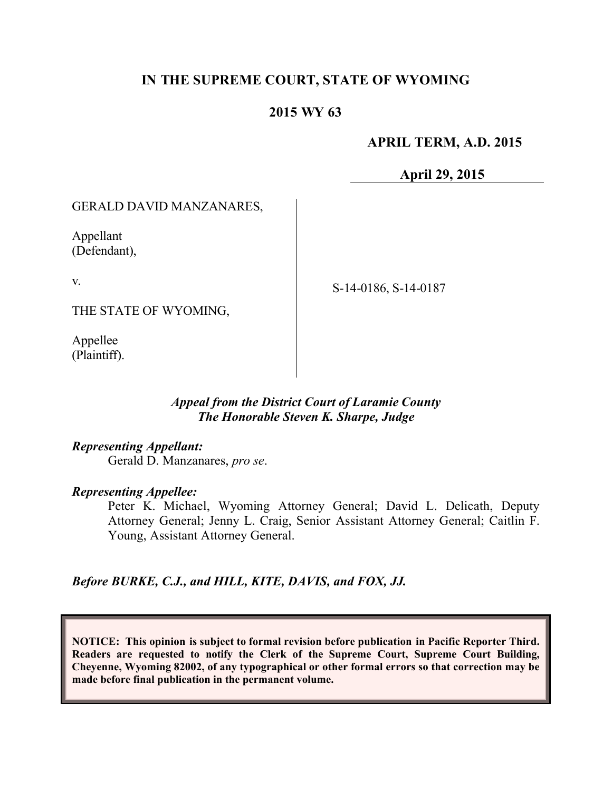# **IN THE SUPREME COURT, STATE OF WYOMING**

# **2015 WY 63**

## **APRIL TERM, A.D. 2015**

**April 29, 2015**

#### GERALD DAVID MANZANARES,

Appellant (Defendant),

v.

THE STATE OF WYOMING,

Appellee (Plaintiff). S-14-0186, S-14-0187

*Appeal from the District Court of Laramie County The Honorable Steven K. Sharpe, Judge*

*Representing Appellant:*

Gerald D. Manzanares, *pro se*.

#### *Representing Appellee:*

Peter K. Michael, Wyoming Attorney General; David L. Delicath, Deputy Attorney General; Jenny L. Craig, Senior Assistant Attorney General; Caitlin F. Young, Assistant Attorney General.

*Before BURKE, C.J., and HILL, KITE, DAVIS, and FOX, JJ.*

**NOTICE: This opinion is subject to formal revision before publication in Pacific Reporter Third. Readers are requested to notify the Clerk of the Supreme Court, Supreme Court Building, Cheyenne, Wyoming 82002, of any typographical or other formal errors so that correction may be made before final publication in the permanent volume.**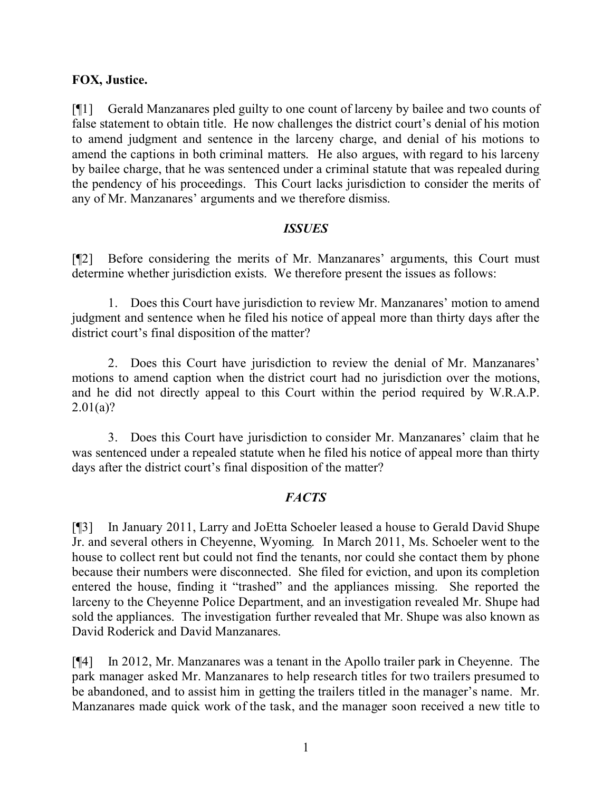#### **FOX, Justice.**

[¶1] Gerald Manzanares pled guilty to one count of larceny by bailee and two counts of false statement to obtain title. He now challenges the district court's denial of his motion to amend judgment and sentence in the larceny charge, and denial of his motions to amend the captions in both criminal matters. He also argues, with regard to his larceny by bailee charge, that he was sentenced under a criminal statute that was repealed during the pendency of his proceedings. This Court lacks jurisdiction to consider the merits of any of Mr. Manzanares' arguments and we therefore dismiss.

#### *ISSUES*

[¶2] Before considering the merits of Mr. Manzanares' arguments, this Court must determine whether jurisdiction exists. We therefore present the issues as follows:

1. Does this Court have jurisdiction to review Mr. Manzanares' motion to amend judgment and sentence when he filed his notice of appeal more than thirty days after the district court's final disposition of the matter?

2. Does this Court have jurisdiction to review the denial of Mr. Manzanares' motions to amend caption when the district court had no jurisdiction over the motions, and he did not directly appeal to this Court within the period required by W.R.A.P.  $2.01(a)?$ 

3. Does this Court have jurisdiction to consider Mr. Manzanares' claim that he was sentenced under a repealed statute when he filed his notice of appeal more than thirty days after the district court's final disposition of the matter?

## *FACTS*

[¶3] In January 2011, Larry and JoEtta Schoeler leased a house to Gerald David Shupe Jr. and several others in Cheyenne, Wyoming. In March 2011, Ms. Schoeler went to the house to collect rent but could not find the tenants, nor could she contact them by phone because their numbers were disconnected. She filed for eviction, and upon its completion entered the house, finding it "trashed" and the appliances missing. She reported the larceny to the Cheyenne Police Department, and an investigation revealed Mr. Shupe had sold the appliances. The investigation further revealed that Mr. Shupe was also known as David Roderick and David Manzanares.

[¶4] In 2012, Mr. Manzanares was a tenant in the Apollo trailer park in Cheyenne. The park manager asked Mr. Manzanares to help research titles for two trailers presumed to be abandoned, and to assist him in getting the trailers titled in the manager's name. Mr. Manzanares made quick work of the task, and the manager soon received a new title to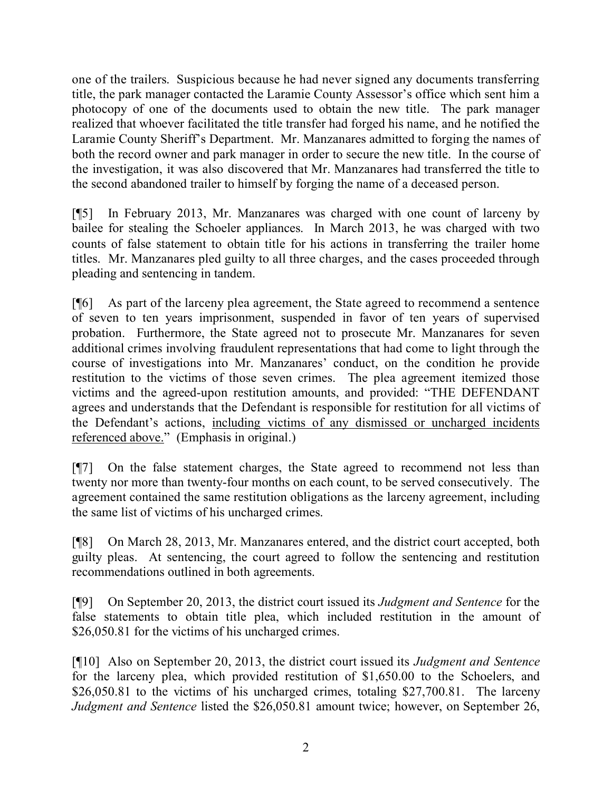one of the trailers. Suspicious because he had never signed any documents transferring title, the park manager contacted the Laramie County Assessor's office which sent him a photocopy of one of the documents used to obtain the new title. The park manager realized that whoever facilitated the title transfer had forged his name, and he notified the Laramie County Sheriff's Department. Mr. Manzanares admitted to forging the names of both the record owner and park manager in order to secure the new title. In the course of the investigation, it was also discovered that Mr. Manzanares had transferred the title to the second abandoned trailer to himself by forging the name of a deceased person.

[¶5] In February 2013, Mr. Manzanares was charged with one count of larceny by bailee for stealing the Schoeler appliances. In March 2013, he was charged with two counts of false statement to obtain title for his actions in transferring the trailer home titles. Mr. Manzanares pled guilty to all three charges, and the cases proceeded through pleading and sentencing in tandem.

[¶6] As part of the larceny plea agreement, the State agreed to recommend a sentence of seven to ten years imprisonment, suspended in favor of ten years of supervised probation. Furthermore, the State agreed not to prosecute Mr. Manzanares for seven additional crimes involving fraudulent representations that had come to light through the course of investigations into Mr. Manzanares' conduct, on the condition he provide restitution to the victims of those seven crimes. The plea agreement itemized those victims and the agreed-upon restitution amounts, and provided: "THE DEFENDANT agrees and understands that the Defendant is responsible for restitution for all victims of the Defendant's actions, including victims of any dismissed or uncharged incidents referenced above." (Emphasis in original.)

[¶7] On the false statement charges, the State agreed to recommend not less than twenty nor more than twenty-four months on each count, to be served consecutively. The agreement contained the same restitution obligations as the larceny agreement, including the same list of victims of his uncharged crimes.

[¶8] On March 28, 2013, Mr. Manzanares entered, and the district court accepted, both guilty pleas. At sentencing, the court agreed to follow the sentencing and restitution recommendations outlined in both agreements.

[¶9] On September 20, 2013, the district court issued its *Judgment and Sentence* for the false statements to obtain title plea, which included restitution in the amount of \$26,050.81 for the victims of his uncharged crimes.

[¶10] Also on September 20, 2013, the district court issued its *Judgment and Sentence* for the larceny plea, which provided restitution of \$1,650.00 to the Schoelers, and \$26,050.81 to the victims of his uncharged crimes, totaling \$27,700.81. The larceny *Judgment and Sentence* listed the \$26,050.81 amount twice; however, on September 26,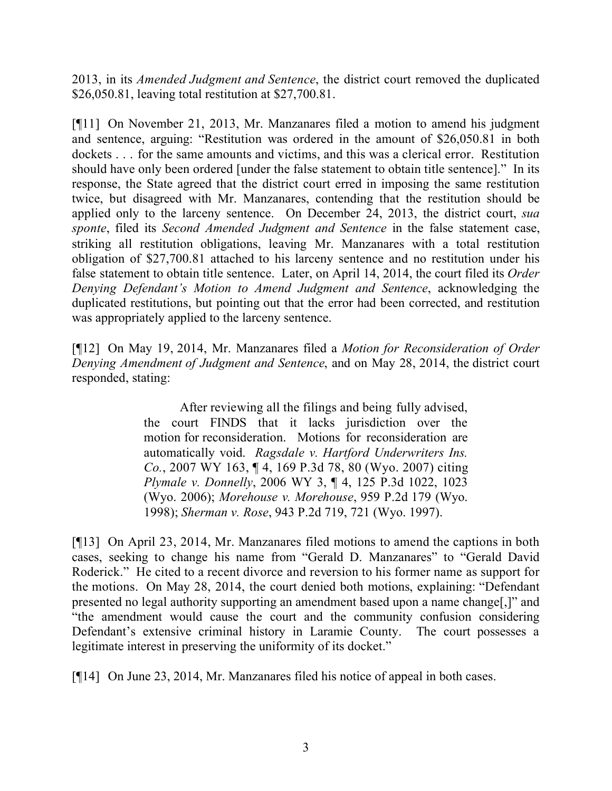2013, in its *Amended Judgment and Sentence*, the district court removed the duplicated \$26,050.81, leaving total restitution at \$27,700.81.

[¶11] On November 21, 2013, Mr. Manzanares filed a motion to amend his judgment and sentence, arguing: "Restitution was ordered in the amount of \$26,050.81 in both dockets . . . for the same amounts and victims, and this was a clerical error. Restitution should have only been ordered [under the false statement to obtain title sentence]." In its response, the State agreed that the district court erred in imposing the same restitution twice, but disagreed with Mr. Manzanares, contending that the restitution should be applied only to the larceny sentence. On December 24, 2013, the district court, *sua sponte*, filed its *Second Amended Judgment and Sentence* in the false statement case, striking all restitution obligations, leaving Mr. Manzanares with a total restitution obligation of \$27,700.81 attached to his larceny sentence and no restitution under his false statement to obtain title sentence. Later, on April 14, 2014, the court filed its *Order Denying Defendant's Motion to Amend Judgment and Sentence*, acknowledging the duplicated restitutions, but pointing out that the error had been corrected, and restitution was appropriately applied to the larceny sentence.

[¶12] On May 19, 2014, Mr. Manzanares filed a *Motion for Reconsideration of Order Denying Amendment of Judgment and Sentence*, and on May 28, 2014, the district court responded, stating:

> After reviewing all the filings and being fully advised, the court FINDS that it lacks jurisdiction over the motion for reconsideration. Motions for reconsideration are automatically void. *Ragsdale v. Hartford Underwriters Ins. Co.*, 2007 WY 163, ¶ 4, 169 P.3d 78, 80 (Wyo. 2007) citing *Plymale v. Donnelly*, 2006 WY 3, ¶ 4, 125 P.3d 1022, 1023 (Wyo. 2006); *Morehouse v. Morehouse*, 959 P.2d 179 (Wyo. 1998); *Sherman v. Rose*, 943 P.2d 719, 721 (Wyo. 1997).

[¶13] On April 23, 2014, Mr. Manzanares filed motions to amend the captions in both cases, seeking to change his name from "Gerald D. Manzanares" to "Gerald David Roderick." He cited to a recent divorce and reversion to his former name as support for the motions. On May 28, 2014, the court denied both motions, explaining: "Defendant presented no legal authority supporting an amendment based upon a name change[,]" and "the amendment would cause the court and the community confusion considering Defendant's extensive criminal history in Laramie County. The court possesses a legitimate interest in preserving the uniformity of its docket."

[¶14] On June 23, 2014, Mr. Manzanares filed his notice of appeal in both cases.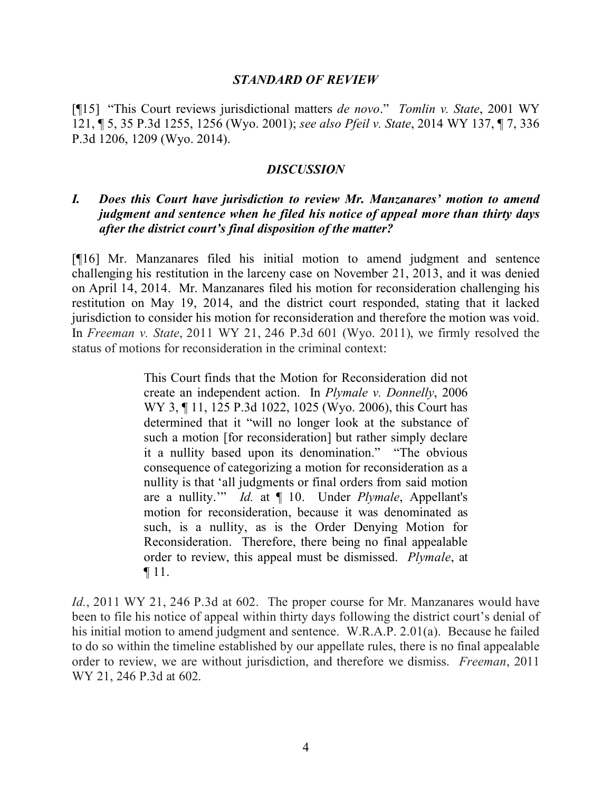#### *STANDARD OF REVIEW*

[¶15] "This Court reviews jurisdictional matters *de novo*." *Tomlin v. State*, 2001 WY 121, ¶ 5, 35 P.3d 1255, 1256 (Wyo. 2001); *see also Pfeil v. State*, 2014 WY 137, ¶ 7, 336 P.3d 1206, 1209 (Wyo. 2014).

#### *DISCUSSION*

### *I. Does this Court have jurisdiction to review Mr. Manzanares' motion to amend judgment and sentence when he filed his notice of appeal more than thirty days after the district court's final disposition of the matter?*

[¶16] Mr. Manzanares filed his initial motion to amend judgment and sentence challenging his restitution in the larceny case on November 21, 2013, and it was denied on April 14, 2014. Mr. Manzanares filed his motion for reconsideration challenging his restitution on May 19, 2014, and the district court responded, stating that it lacked jurisdiction to consider his motion for reconsideration and therefore the motion was void. In *Freeman v. State*, 2011 WY 21, 246 P.3d 601 (Wyo. 2011), we firmly resolved the status of motions for reconsideration in the criminal context:

> This Court finds that the Motion for Reconsideration did not create an independent action. In *Plymale v. Donnelly*, 2006 WY 3, ¶ 11, 125 P.3d 1022, 1025 (Wyo. 2006), this Court has determined that it "will no longer look at the substance of such a motion [for reconsideration] but rather simply declare it a nullity based upon its denomination." "The obvious consequence of categorizing a motion for reconsideration as a nullity is that 'all judgments or final orders from said motion are a nullity.'" *Id.* at ¶ 10. Under *Plymale*, Appellant's motion for reconsideration, because it was denominated as such, is a nullity, as is the Order Denying Motion for Reconsideration. Therefore, there being no final appealable order to review, this appeal must be dismissed. *Plymale*, at ¶ 11.

*Id.*, 2011 WY 21, 246 P.3d at 602. The proper course for Mr. Manzanares would have been to file his notice of appeal within thirty days following the district court's denial of his initial motion to amend judgment and sentence. W.R.A.P. 2.01(a). Because he failed to do so within the timeline established by our appellate rules, there is no final appealable order to review, we are without jurisdiction, and therefore we dismiss. *Freeman*, 2011 WY 21, 246 P.3d at 602.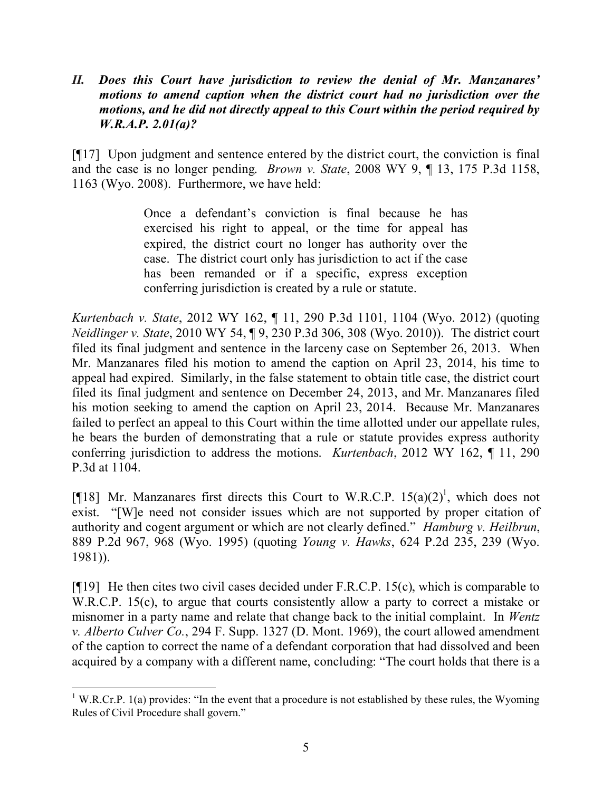## *II. Does this Court have jurisdiction to review the denial of Mr. Manzanares' motions to amend caption when the district court had no jurisdiction over the motions, and he did not directly appeal to this Court within the period required by W.R.A.P. 2.01(a)?*

[¶17] Upon judgment and sentence entered by the district court, the conviction is final and the case is no longer pending. *Brown v. State*, 2008 WY 9, ¶ 13, 175 P.3d 1158, 1163 (Wyo. 2008). Furthermore, we have held:

> Once a defendant's conviction is final because he has exercised his right to appeal, or the time for appeal has expired, the district court no longer has authority over the case. The district court only has jurisdiction to act if the case has been remanded or if a specific, express exception conferring jurisdiction is created by a rule or statute.

*Kurtenbach v. State*, 2012 WY 162, ¶ 11, 290 P.3d 1101, 1104 (Wyo. 2012) (quoting *Neidlinger v. State*, 2010 WY 54, ¶ 9, 230 P.3d 306, 308 (Wyo. 2010)). The district court filed its final judgment and sentence in the larceny case on September 26, 2013. When Mr. Manzanares filed his motion to amend the caption on April 23, 2014, his time to appeal had expired. Similarly, in the false statement to obtain title case, the district court filed its final judgment and sentence on December 24, 2013, and Mr. Manzanares filed his motion seeking to amend the caption on April 23, 2014. Because Mr. Manzanares failed to perfect an appeal to this Court within the time allotted under our appellate rules, he bears the burden of demonstrating that a rule or statute provides express authority conferring jurisdiction to address the motions. *Kurtenbach*, 2012 WY 162, ¶ 11, 290 P.3d at 1104.

[¶18] Mr. Manzanares first directs this Court to W.R.C.P.  $15(a)(2)^1$ , which does not exist. "[W]e need not consider issues which are not supported by proper citation of authority and cogent argument or which are not clearly defined." *Hamburg v. Heilbrun*, 889 P.2d 967, 968 (Wyo. 1995) (quoting *Young v. Hawks*, 624 P.2d 235, 239 (Wyo. 1981)).

[ $[19]$ ] He then cites two civil cases decided under F.R.C.P. 15(c), which is comparable to W.R.C.P. 15(c), to argue that courts consistently allow a party to correct a mistake or misnomer in a party name and relate that change back to the initial complaint. In *Wentz v. Alberto Culver Co.*, 294 F. Supp. 1327 (D. Mont. 1969), the court allowed amendment of the caption to correct the name of a defendant corporation that had dissolved and been acquired by a company with a different name, concluding: "The court holds that there is a

 <sup>1</sup> W.R.Cr.P. 1(a) provides: "In the event that a procedure is not established by these rules, the Wyoming Rules of Civil Procedure shall govern."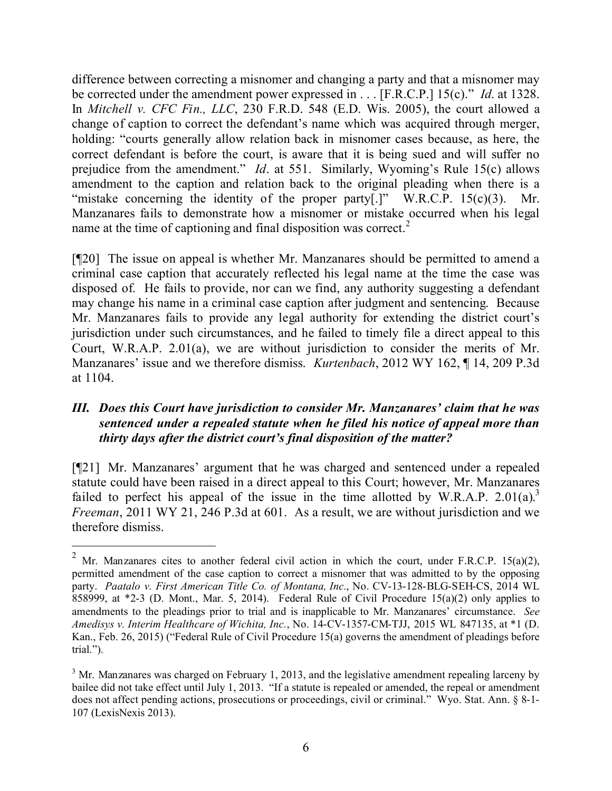difference between correcting a misnomer and changing a party and that a misnomer may be corrected under the amendment power expressed in . . . [F.R.C.P.] 15(c)." *Id*. at 1328. In *Mitchell v. CFC Fin., LLC*, 230 F.R.D. 548 (E.D. Wis. 2005), the court allowed a change of caption to correct the defendant's name which was acquired through merger, holding: "courts generally allow relation back in misnomer cases because, as here, the correct defendant is before the court, is aware that it is being sued and will suffer no prejudice from the amendment." *Id*. at 551. Similarly, Wyoming's Rule 15(c) allows amendment to the caption and relation back to the original pleading when there is a "mistake concerning the identity of the proper party[.]"  $W.R.C.P. 15(c)(3)$ . Mr. Manzanares fails to demonstrate how a misnomer or mistake occurred when his legal name at the time of captioning and final disposition was correct.<sup>2</sup>

[¶20] The issue on appeal is whether Mr. Manzanares should be permitted to amend a criminal case caption that accurately reflected his legal name at the time the case was disposed of. He fails to provide, nor can we find, any authority suggesting a defendant may change his name in a criminal case caption after judgment and sentencing. Because Mr. Manzanares fails to provide any legal authority for extending the district court's jurisdiction under such circumstances, and he failed to timely file a direct appeal to this Court, W.R.A.P. 2.01(a), we are without jurisdiction to consider the merits of Mr. Manzanares' issue and we therefore dismiss. *Kurtenbach*, 2012 WY 162, ¶ 14, 209 P.3d at 1104.

## *III. Does this Court have jurisdiction to consider Mr. Manzanares' claim that he was sentenced under a repealed statute when he filed his notice of appeal more than thirty days after the district court's final disposition of the matter?*

[¶21] Mr. Manzanares' argument that he was charged and sentenced under a repealed statute could have been raised in a direct appeal to this Court; however, Mr. Manzanares failed to perfect his appeal of the issue in the time allotted by W.R.A.P. 2.01 $(a)$ <sup>3</sup> *Freeman*, 2011 WY 21, 246 P.3d at 601. As a result, we are without jurisdiction and we therefore dismiss.

<sup>&</sup>lt;sup>2</sup> Mr. Manzanares cites to another federal civil action in which the court, under F.R.C.P. 15(a)(2), permitted amendment of the case caption to correct a misnomer that was admitted to by the opposing party. *Paatalo v. First American Title Co. of Montana, Inc.*, No. CV-13-128-BLG-SEH-CS, 2014 WL 858999, at  $*2-3$  (D. Mont., Mar. 5, 2014). Federal Rule of Civil Procedure 15(a)(2) only applies to amendments to the pleadings prior to trial and is inapplicable to Mr. Manzanares' circumstance. *See Amedisys v. Interim Healthcare of Wichita, Inc.*, No. 14-CV-1357-CM-TJJ, 2015 WL 847135, at \*1 (D. Kan., Feb. 26, 2015) ("Federal Rule of Civil Procedure 15(a) governs the amendment of pleadings before trial.").

 $3$  Mr. Manzanares was charged on February 1, 2013, and the legislative amendment repealing larceny by bailee did not take effect until July 1, 2013. "If a statute is repealed or amended, the repeal or amendment does not affect pending actions, prosecutions or proceedings, civil or criminal." Wyo. Stat. Ann. § 8-1- 107 (LexisNexis 2013).